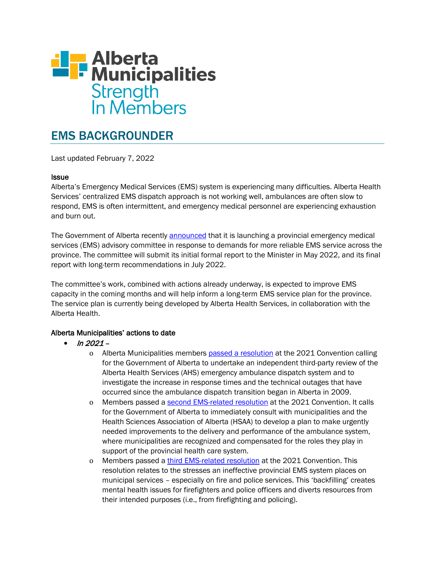

# EMS BACKGROUNDER

Last updated February 7, 2022

### **Issue**

Alberta's Emergency Medical Services (EMS) system is experiencing many difficulties. Alberta Health Services' centralized EMS dispatch approach is not working well, ambulances are often slow to respond, EMS is often intermittent, and emergency medical personnel are experiencing exhaustion and burn out.

The Government of Alberta recently [announced](https://www.alberta.ca/release.cfm?xID=817698A0B3E38-CB1E-7434-A9265705634345ED) that it is launching a provincial emergency medical services (EMS) advisory committee in response to demands for more reliable EMS service across the province. The committee will submit its initial formal report to the Minister in May 2022, and its final report with long-term recommendations in July 2022.

The committee's work, combined with actions already underway, is expected to improve EMS capacity in the coming months and will help inform a long-term EMS service plan for the province. The service plan is currently being developed by Alberta Health Services, in collaboration with the Alberta Health.

## Alberta Municipalities' actions to date

- $ln 2021$ 
	- o Alberta Municipalities members [passed a resolution](https://www.abmunis.ca/advocacy-resources/resolutions-library/alberta-health-services-emergency-ambulance-dispatch) at the 2021 Convention calling for the Government of Alberta to undertake an independent third-party review of the Alberta Health Services (AHS) emergency ambulance dispatch system and to investigate the increase in response times and the technical outages that have occurred since the ambulance dispatch transition began in Alberta in 2009.
	- o Members passed a [second EMS-related resolution](https://www.abmunis.ca/advocacy-resources/resolutions-library/responsibility-ambulance-service-delivery) at the 2021 Convention. It calls for the Government of Alberta to immediately consult with municipalities and the Health Sciences Association of Alberta (HSAA) to develop a plan to make urgently needed improvements to the delivery and performance of the ambulance system, where municipalities are recognized and compensated for the roles they play in support of the provincial health care system.
	- o Members passed a [third EMS-related resolution](https://www.abmunis.ca/advocacy-resources/resolutions-library/mental-health-wellness-public-safety-personnel) at the 2021 Convention. This resolution relates to the stresses an ineffective provincial EMS system places on municipal services – especially on fire and police services. This 'backfilling' creates mental health issues for firefighters and police officers and diverts resources from their intended purposes (i.e., from firefighting and policing).